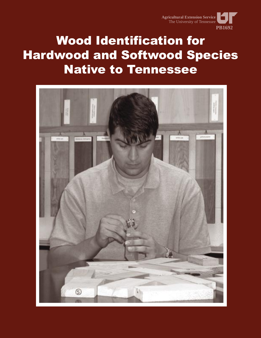

# Wood Identification for Hardwood and Softwood Species Native to Tennessee

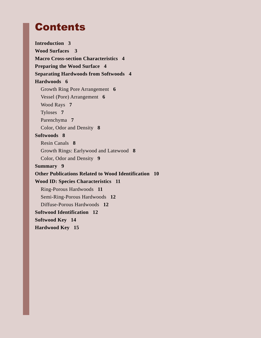# Contents

**Introduction 3 Wood Surfaces 3 Macro Cross-section Characteristics 4 Preparing the Wood Surface 4 Separating Hardwoods from Softwoods 4 Hardwoods 6** Growth Ring Pore Arrangement **6** Vessel (Pore) Arrangement **6** Wood Rays **7** Tyloses **7** Parenchyma **7** Color, Odor and Density **8 Softwoods 8** Resin Canals **8** Growth Rings: Earlywood and Latewood **8** Color, Odor and Density **9 Summary 9 Other Publications Related to Wood Identification 10 Wood ID: Species Characteristics 11** Ring-Porous Hardwoods **11** Semi-Ring-Porous Hardwoods **12** Diffuse-Porous Hardwoods **12 Softwood Identification 12 Softwood Key 14 Hardwood Key 15**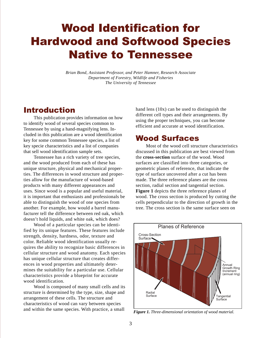# Wood Identification for Hardwood and Softwood Species Native to Tennessee

*Brian Bond, Assistant Professor, and Peter Hamner, Research Associate Department of Forestry, Wildlife and Fisheries The University of Tennessee*

# Introduction

This publication provides information on how to identify wood of several species common to Tennessee by using a hand-magnifying lens. Included in this publication are a wood identification key for some common Tennessee species, a list of key specie characteristics and a list of companies that sell wood identification sample sets.

Tennessee has a rich variety of tree species, and the wood produced from each of these has unique structure, physical and mechanical properties. The differences in wood structure and properties allow for the manufacture of wood-based products with many different appearances and uses. Since wood is a popular and useful material, it is important that enthusiasts and professionals be able to distinguish the wood of one species from another. For example, how would a barrel manufacturer tell the difference between red oak, which doesn't hold liquids, and white oak, which does?

Wood of a particular species can be identified by its unique features. These features include strength, density, hardness, odor, texture and color. Reliable wood identification usually requires the ability to recognize basic differences in cellular structure and wood anatomy. Each species has unique cellular structure that creates differences in wood properties and ultimately determines the suitability for a particular use. Cellular characteristics provide a blueprint for accurate wood identification.

Wood is composed of many small cells and its structure is determined by the type, size, shape and arrangement of these cells. The structure and characteristics of wood can vary between species and within the same species. With practice, a small

hand lens (10x) can be used to distinguish the different cell types and their arrangements. By using the proper techniques, you can become efficient and accurate at wood identification.

# Wood Surfaces

Most of the wood cell structure characteristics discussed in this publication are best viewed from the **cross-section** surface of the wood. Wood surfaces are classified into three categories, or geometric planes of reference, that indicate the type of surface uncovered after a cut has been made. The three reference planes are the cross section, radial section and tangential section. **Figure 1** depicts the three reference planes of wood. The cross section is produced by cutting the cells perpendicular to the direction of growth in the tree. The cross section is the same surface seen on



*Figure 1. Three-dimensional orientation of wood material.*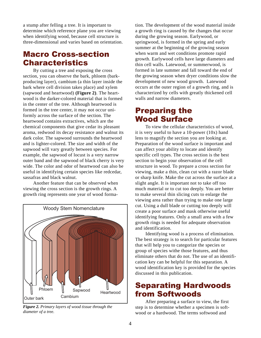a stump after felling a tree. It is important to determine which reference plane you are viewing when identifying wood, because cell structure is three-dimensional and varies based on orientation.

# Macro Cross-section **Characteristics**

By cutting a tree and exposing the cross section, you can observe the bark, phloem (barkproducing layer), cambium (a thin layer inside the bark where cell division takes place) and xylem (sapwood and heartwood) **(Figure 2)**. The heartwood is the darker-colored material that is formed in the center of the tree. Although heartwood is formed in the tree center, it may not occur uniformly across the surface of the section. The heartwood contains extractives, which are the chemical components that give cedar its pleasant aroma, redwood its decay resistance and walnut its dark color. The sapwood surrounds the heartwood and is lighter-colored. The size and width of the sapwood will vary greatly between species. For example, the sapwood of locust is a very narrow outer band and the sapwood of black cherry is very wide. The color and odor of heartwood can also be useful in identifying certain species like redcedar, sassafras and black walnut.

Another feature that can be observed when viewing the cross section is the growth rings. A growth ring represents one year of wood forma-



*Figure 2. Primary layers of wood tissue through the diameter of a tree.*

tion. The development of the wood material inside a growth ring is caused by the changes that occur during the growing season. Earlywood, or springwood, is formed in the spring and early summer at the beginning of the growing season when warm and wet conditions promote rapid growth. Earlywood cells have large diameters and thin cell walls. Latewood, or summerwood, is formed in late summer and fall toward the end of the growing season when dryer conditions slow the development of new wood growth. Latewood occurs at the outer region of a growth ring, and is characterized by cells with greatly thickened cell walls and narrow diameters.

# Preparing the Wood Surface

To view the cellular characteristics of wood, it is very useful to have a 10-power (10x) hand lens to magnify the section you are looking at. Preparation of the wood surface is important and can affect your ability to locate and identify specific cell types. The cross section is the best section to begin your observation of the cell structure in wood. To prepare a cross section for viewing, make a thin, clean cut with a razor blade or sharp knife. Make the cut across the surface at a slight angle. It is important not to take off too much material or to cut too deeply. You are better to make several thin slicing cuts to enlarge the viewing area rather than trying to make one large cut. Using a dull blade or cutting too deeply will create a poor surface and mask otherwise useful identifying features. Only a small area with a few growth rings is needed for adequate observation and identification.

Identifying wood is a process of elimination. The best strategy is to search for particular features that will help you to categorize the species or group of species withe those features, and thus eliminate others that do not. The use of an identification key can be helpful for this separation. A wood identification key is provided for the species discussed in this publication.

# Separating Hardwoods from Softwoods

After preparing a surface to view, the first step is to determine whether a specimen is softwood or a hardwood. The terms softwood and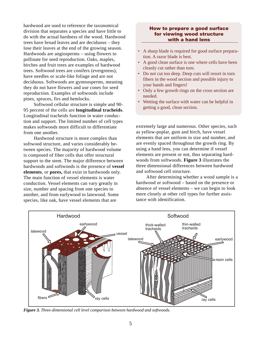hardwood are used to reference the taxonomical division that separates a species and have little to do with the actual hardness of the wood. Hardwood trees have broad leaves and are deciduous – they lose their leaves at the end of the growing season. Hardwoods are angiosperms – using flowers to pollinate for seed reproduction. Oaks, maples, birches and fruit trees are examples of hardwood trees. Softwood trees are conifers (evergreens), have needles or scale-like foliage and are not deciduous. Softwoods are gymnosperms, meaning they do not have flowers and use cones for seed reproduction. Examples of softwoods include pines, spruces, firs and hemlocks.

Softwood cellular structure is simple and 90- 95 percent of the cells are **longitudinal tracheids**. Longitudinal tracheids function in water conduction and support. The limited number of cell types makes softwoods more difficult to differentiate from one another.

Hardwood structure is more complex than softwood structure, and varies considerably between species. The majority of hardwood volume is composed of fiber cells that offer structural support to the stem. The major difference between hardwoods and softwoods is the presence of **vessel elements**, or **pores,** that exist in hardwoods only. The main function of vessel elements is water conduction. Vessel elements can vary greatly in size, number and spacing from one species to another, and from earlywood to latewood. Some species, like oak, have vessel elements that are

#### How to prepare a good surface for viewing wood structure with a hand lens

- A sharp blade is required for good surface preparation. A razor blade is best.
- A good clean surface is one where cells have been cleanly cut rather than torn.
- Do not cut too deep. Deep cuts will resort in torn fibers in the wood section and possible injury to your hands and fingers!
- Only a few growth rings on the cross section are needed.
- Wetting the surface with water can be helpful in getting a good, clean section.

extremely large and numerous. Other species, such as yellow-poplar, gum and birch, have vessel elements that are uniform in size and number, and are evenly spaced throughout the growth ring. By using a hand lens, you can determine if vessel elements are present or not, thus separating hardwoods from softwoods. **Figure 3** illustrates the three dimensional differences between hardwood and softwood cell structure.

After determining whether a wood sample is a hardwood or softwood – based on the presence or absence of vessel elements – we can begin to look more closely at other cell types for further assistance with identification.



*Figure 3. Three-dimensional cell level comparison between hardwood and softwoods.*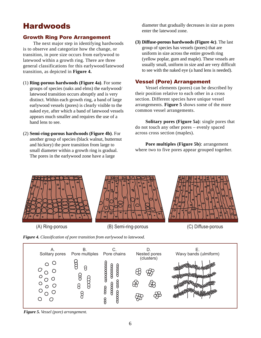# Hardwoods

### Growth Ring Pore Arrangement

The next major step in identifying hardwoods is to observe and categorize how the change, or transition, in pore size occurs from earlywood to latewood within a growth ring. There are three general classifications for this earlywood/latewood transition, as depicted in **Figure 4.**

- (1) **Ring-porous hardwoods (Figure 4a)**. For some groups of species (oaks and elms) the earlywood/ latewood transition occurs abruptly and is very distinct. Within each growth ring, a band of large earlywood vessels (pores) is clearly visible to the naked eye, after which a band of latewood vessels appears much smaller and requires the use of a hand lens to see.
- (2) **Semi-ring-porous hardwoods (Figure 4b)**. For another group of species (black walnut, butternut and hickory) the pore transition from large to small diameter within a growth ring is gradual. The pores in the earlywood zone have a large

diameter that gradually decreases in size as pores enter the latewood zone.

**(3) Diffuse-porous hardwoods (Figure 4c)**. The last group of species has vessels (pores) that are uniform in size across the entire growth ring (yellow poplar, gum and maple). These vessels are usually small, uniform in size and are very difficult to see with the naked eye (a hand lens is needed).

### Vessel (Pore) Arrangement

Vessel elements (pores) can be described by their position relative to each other in a cross section. Different species have unique vessel arrangements. **Figure 5** shows some of the more common vessel arrangements.

**Solitary pores (Figure 5a)**: single pores that do not touch any other pores – evenly spaced across cross section (maples).

**Pore multiples (Figure 5b)**: arrangement where two to five pores appear grouped together.



*Figure 4. Classification of pore transition from earlywood to latewood.*



*Figure 5. Vessel (pore) arrangement.*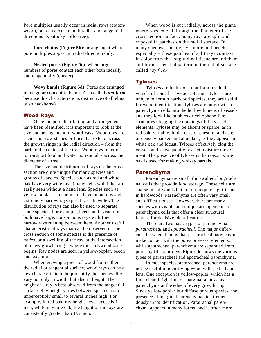Pore multiples usually occur in radial rows (cottonwood), but can occur in both radial and tangential directions (Kentucky coffeetree).

**Pore chains (Figure 5b)**: arrangement where pore multiples appear in radial direction only.

**Nested pores (Figure 5c)**: when larger numbers of pores contact each other both radially and tangentially (cluster).

**Wavy bands (Figure 5d)**: Pores are arranged in irregular concentric bands. Also called *ulmiform* because this characteristic is distinctive of all elms (also hackberry).

#### Wood Rays

Once the pore distribution and arrangement have been identified, it is important to look at the size and arrangement of **wood rays.** Wood rays are seen as narrow stripes or lines that extend across the growth rings in the radial direction – from the bark to the center of the tree. Wood rays function to transport food and water horizontally across the diameter of a tree.

The size and distribution of rays on the cross section are quite unique for many species and groups of species. Species such as red and white oak have very wide rays (many cells wide) that are easily seen without a hand lens. Species such as yellow-poplar, ash and maple have numerous and extremely narrow rays (just 1-2 cells wide). The distribution of rays can also be used to separate some species. For example, beech and sycamore both have large, conspicuous rays with fine, narrow rays running between them. Another useful characteristic of rays that can be observed on the cross section of some species is the presence of *nodes*, or a swelling of the ray, at the intersection of a new growth ring – where the earlywood zone begins. Ray nodes are seen in yellow-poplar, beech and sycamore.

When viewing a piece of wood from either the radial or tangential surface, wood rays can be a key characteristic to help identify the species. Rays vary not only in width, but also in height. The height of a ray is best observed from the tangential surface. Ray height varies between species from imperceptibly small to several inches high. For example, in red oak, ray height never exceeds 1 inch, while in white oak, the height of the rays are consistently greater than 11/4 inch.

When wood is cut radially, across the plane where rays extend through the diameter of the cross section surface, many rays are split and exposed in patches on the radial surface. In many species – maple, sycamore and beech especially – these patches of split rays contrast in color from the longitudinal tissue around them and form a freckled pattern on the radial surface called *ray fleck.*

#### **Tyloses**

Tyloses are inclusions that form inside the vessels of some hardwoods. Because tyloses are unique to certain hardwood species, they are useful for wood identification. Tyloses are outgrowths of parenchyma cells into the hollow lumens of vessels and they look like bubbles or cellophane-like structures clogging the openings of the vessel elements. Tyloses may be absent or sparse, as in red oak; variable, in the case of chestnut and ash; or densely packed and abundant, as they appear in white oak and locust. Tyloses effectively clog the vessels and subsequently restrict moisture movement. The presence of tyloses is the reason white oak is used for making whisky barrels.

#### Parenchyma

Parenchyma are small, thin-walled, longitudinal cells that provide food storage. These cells are sparse in softwoods but are often quite significant in hardwoods. Parenchyma are often very small and difficult to see. However, there are many species with visible and unique arrangements of parenchyma cells that offer a clear structural feature for decisive identification.

There are two basic types of parenchyma: *paratracheal* and *apotracheal*. The major difference between them is that paratracheal parenchyma make contact with the pores or vessel elements, while apotracheal parenchyma are separated from pores by fibers or rays. **Figure 6** shows the various types of paratracheal and apotracheal parenchyma.

In most species, apotracheal parenchyma are not be useful in identifying wood with just a hand lens. One exception is yellow-poplar, which has a fine, clear, bright line of marginal apotracheal parenchyma at the edge of every growth ring. Since yellow poplar is a diffuse porous species, the presence of marginal parenchyma aids tremendously in its identification. Paratrachal parenchyma appears in many forms, and is often more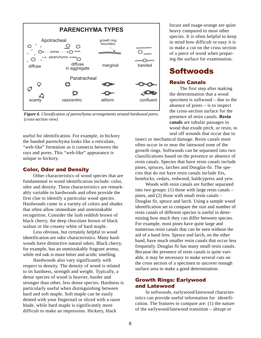

*Figure 6. Classification of parenchyma arrangements around hardwood pores. (cross-section view)*

useful for identification. For example, in hickory the banded parenchyma looks like a reticulate, "web-like" formation as it connects between the rays and pores. This "web-like" appearance is unique to hickory.

#### Color, Odor and Density

Other characteristics of wood species that are fundamental to wood identification include: color, odor and density. These characteristics are remarkably variable in hardwoods and often provide the first clue to identify a particular wood species. Hardwoods come in a variety of colors and shades that often allow immediate and unmistakable recognition. Consider the lush reddish brown of black cherry, the deep chocolate brown of black walnut or the creamy white of hard maple.

Less obvious, but certainly helpful to wood identification are odor characteristics. Many hardwoods have distinctive natural odors. Black cherry, for example, has an unmistakably fragrant aroma, while red oak is more bitter and acidic smelling.

Hardwoods also vary significantly with respect to density. The density of wood is related to its hardness, strength and weight. Typically, a dense species of wood is heavier, harder and stronger than other, less dense species. Hardness is particularly useful when distinguishing between hard and soft maple. Soft maple can be easily dented with your fingernail or sliced with a razor blade, while hard maple is significantly more difficult to make an impression. Hickory, black

locust and osage-orange are quite heavy compared to most other species. It is often helpful to keep in mind how difficult or easy it is to make a cut on the cross section of a piece of wood when preparing the surface for examination.

# **Softwoods**

#### Resin Canals

The first step after making the determination that a wood specimen is softwood – due to the absence of pores – is to inspect the cross-section surface for the presence of resin canals. **Resin canals** are tubular passages in wood that exude pitch, or resin, to seal off wounds that occur due to

insect or mechanical damage. Resin canals most often occur in or near the latewood zone of the growth rings. Softwoods can be separated into two classifications based on the presence or absence of resin canals. Species that have resin canals include pines, spruces, larches and Douglas-fir. The species that do not have resin canals include firs, hemlocks, cedars, redwood, baldcypress and yew.

Woods with resin canals are further separated into two groups: (1) those with large resin canals – pines, and (2) those with small resin canals – Douglas fir, spruce and larch. Using a sample wood identification set to compare the size and number of resin canals of different species is useful in determining how much they can differ between species. For example, most pines have quite large and numerous resin canals that can be seen without the aid of a hand lens. Spruce and larch, on the other hand, have much smaller resin canals that occur less frequently. Douglas fir has many small resin canals. Because the presence of resin canals is quite variable, it may be necessary to make several cuts on the cross section of a specimen to uncover enough surface area to make a good determination.

### Growth Rings: Earlywood and Latewood

In softwoods, earlywood/latewood characteristics can provide useful information for identification. The features to compare are: (1) the nature of the earlywood/latewood transition – abrupt or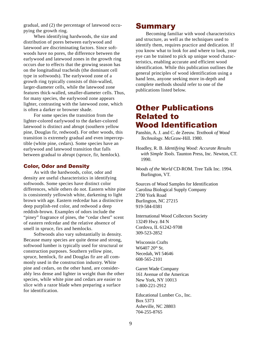gradual, and (2) the percentage of latewood occupying the growth ring.

When identifying hardwoods, the size and distribution of pores between earlywood and latewood are discriminating factors. Since softwoods have no pores, the difference between the earlywood and latewood zones in the growth ring occurs due to effects that the growing season has on the longitudinal tracheids (the dominant cell type in softwoods). The earlywood zone of a growth ring typically consists of thin-walled, larger-diameter cells, while the latewood zone features thick-walled, smaller-diameter cells. Thus, for many species, the earlywood zone appears lighter, contrasting with the latewood zone, which is often a darker or browner shade.

For some species the transition from the lighter-colored earlywood to the darker-colored latewood is distinct and abrupt (southern yellow pine, Douglas fir, redwood). For other woods, this transition is extremely gradual and even imperceptible (white pine, cedars). Some species have an earlywood and latewood transition that falls between gradual to abrupt (spruce, fir, hemlock).

#### Color, Odor and Density

As with the hardwoods, color, odor and density are useful characteristics in identifying softwoods. Some species have distinct color differences, while others do not. Eastern white pine is consistently yellowish white, darkening to light brown with age. Eastern redcedar has a distinctive deep purplish-red color, and redwood a deep reddish-brown. Examples of odors include the "piney" fragrance of pines, the "cedar chest" scent of eastern redcedar and the relative absence of smell in spruce, firs and hemlocks.

Softwoods also vary substantially in density. Because many species are quite dense and strong, softwood lumber is typically used for structural or construction purposes. Southern yellow pine, spruce, hemlock, fir and Douglas fir are all commonly used in the construction industry. White pine and cedars, on the other hand, are considerably less dense and lighter in weight than the other species, while white pine and cedars are easier to slice with a razor blade when preparing a surface for identification.

# **Summary**

Becoming familiar with wood characteristics and structure, as well as the techniques used to identify them, requires practice and dedication. If you know what to look for and where to look, your eye can be trained to pick up unique wood characteristics, enabling accurate and efficient wood identification. While this publication outlines the general principles of wood identification using a hand lens, anyone seeking more in-depth and complete methods should refer to one of the publications listed below.

# Other Publications Related to Wood Identification

Panshin, A. J. and C. de Zeeuw. *Textbook of Wood Technology*. McGraw-Hill. 1980.

Hoadley, R. B. *Identifying Wood: Accurate Results with Simple Tools*. Taunton Press, Inc. Newton, CT. 1990.

*Woods of the World* CD-ROM. Tree Talk Inc. 1994. Burlington, VT.

Sources of Wood Samples for Identification Carolina Biological Supply Company 2700 York Road Burlington, NC 27215 919-584-0381

International Wood Collectors Society 13249 Hwy. 84 N Cordova, IL 61242-9708 309-523-2852

Wisconsin Crafts W6407 20<sup>th</sup> St. Necedah, WI 54646 608-565-2101

Garret Wade Company 161 Avenue of the Americas New York, NY 10013 1-800-221-2912

Educational Lumber Co., Inc. Box 5373 Asheville, NC 28803 704-255-8765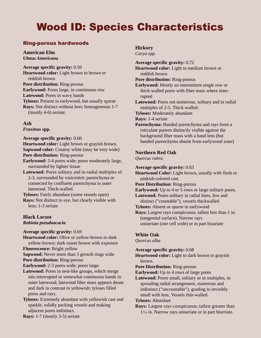# Wood ID: Species Characteristics

# Ring-porous hardwoods

#### **American Elm** *Ulmus Americana*

**Average specific gravity:** 0.50 **Heartwood color:** Light brown to brown or reddish brown **Pore distribution:** Ring-porous **Earlywood:** Pores large, in continuous row **Latewood:** Pores in wavy bands **Tyloses:** Present in earlywood, but usually sparse **Rays:** Not distinct without lens; homogeneous 1-7 (mostly 4-6) seriate.

## **Ash**

*Fraxinus* **spp.**

**Average specific gravity:** 0.60

**Heartwood color:** Light brown or grayish brown. **Sapwood color:** Creamy white (may be very wide) **Pore distribution:** Ring-porous

- **Earlywood:** 2-4 pores wide; pores moderately large, surrounded by lighter tissue
- **Latewood:** Pores solitary and in radial multiples of 2-3, surrounded by vasicentric parenchyma or connected by confluent parenchyma in outer latewood. Thick-walled.

**Tyloses:** Fairly abundant (some vessels open) **Rays:** Not distinct to eye, but clearly visible with lens; 1-3 seriate

# **Black Locust**

*Robinia pseudoacacia*

#### **Average specific gravity:** 0.69

**Heartwood color:** Olive or yellow-brown to dark yellow-brown; dark russet brown with exposure

**Fluorescence:** Bright yellow

**Sapwood:** Never more than 3 growth rings wide

**Pore distribution:** Ring-porous

**Earlywood:** 2-3 pores wide; pores large.

- **Latewood:** Pores in nest-like groups, which merge into interrupted or somewhat continuous bands in outer latewood; latewood fiber mass appears dense and dark in contrast to yellowish; tyloses filled pores and rays.
- **Tyloses:** Extremely abundant with yellowish cast and sparkle, solidly packing vessels and making adjacent pores indistinct.

**Rays:** 1-7 (mostly 3-5) seriate

### **Hickory**

*Carya* spp.

**Average specific gravity:** 0.72 **Heartwood color:** Light to medium brown or reddish brown **Pore distribution:** Ring-porous **Earlywood:** Mostly an intermittent single row or thick-walled pores with fiber mass where interrupted **Latewood:** Pores not numerous, solitary and in radial multiples of 2-5. Thick-walled.

**Tyloses:** Moderately abundant

**Rays:** 1-4 seriate

**Parenchyma:** Banded parenchyma and rays form a reticulate pattern distinctly visible against the background fiber mass with a hand lens (but banded parenchyma absent from earlywood zone)

## **Northern Red Oak**

*Quercus rubra*

**Average specific gravity:** 0.63

**Heartwood Color:** Light brown, usually with flesh or pinkish-colored cast.

**Pore Distribution:** Ring-porous

**Earlywood:** Up to 4 or 5 rows or large solitary pores.

**Latewood:** Pores solitary in radial lines, few and distinct ("countable"), vessels thickwalled

**Tyloses:** Absent or sparse in earlywood

**Rays:** Largest rays conspicuous; tallest less than 1 in. (tangential surface). Narrow rays uniseriate (one cell wide) or in part bisariate

### **White Oak**

*Quercus alba*

**Average specific gravity:** 0.68

**Heartwood color:** Light to dark brown to grayish brown.

**Pore Distribution:** Ring-porous

**Earlywood:** Up to 4 rows of large pores

**Latewood:** Pores small, solitary or in multiples, in spreading radial arrangement, numerous and indistinct ("uncountable"), grading to invisibly small with lens. Vessels thin-walled.

### **Tyloses:** Abundant

**Rays:** Largest rays conspicuous; tallest greater than 11/4 in. Narrow rays uniseriate or in part biseriate.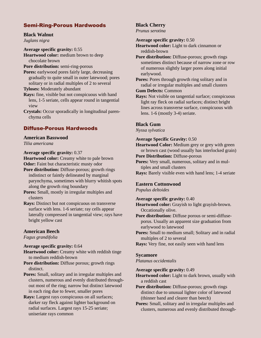## Semi-Ring-Porous Hardwoods

## **Black Walnut**

*Juglans nigra*

**Average specific gravity:** 0.55

**Heartwood color:** medium brown to deep chocolate brown

#### **Pore distribution:** semi-ring-porous

**Pores:** earlywood pores fairly large, decreasing gradually to quite small in outer latewood; pores solitary or in radial multiples of 2 to several

**Tyloses:** Moderately abundant

**Rays:** fine, visible but not conspicuous with hand lens, 1-5 seriate, cells appear round in tangential view

**Crystals:** Occur sporadically in longitudinal parenchyma cells

## Diffuse-Porous Hardwoods

# **American Basswood**

*Tilia americana*

**Average specific gravity:** 0.37

**Heartwood color:** Creamy white to pale brown

**Odor:** Faint but characteristic musty odor

**Pore distribution:** Diffuse-porous; growth rings indistinct or faintly delineated by marginal parynchyma, sometimes with blurry whitish spots along the growth ring boundary

**Pores:** Small, mostly in irregular multiples and clusters

**Rays:** Distinct but not conspicuous on transverse surface with lens. 1-6 seriate; ray cells appear laterally compressed in tangential view; rays have bright yellow cast

#### **American Beech**

*Fagus grandifolia*

#### **Average specific gravity:** 0.64

**Heartwood color:** Creamy white with reddish tinge to medium reddish-brown

**Pore distribution:** Diffuse porous; growth rings distinct.

**Pores:** Small, solitary and in irregular multiples and clusters, numerous and evenly distributed throughout most of the ring; narrow but distinct latewood in each ring due to fewer, smaller pores

**Rays:** Largest rays conspicuous on all surfaces; darker ray fleck against lighter background on radial surfaces. Largest rays 15-25 seriate; uniseriate rays common

# **Black Cherry**

*Prunus serotina*

**Average specific gravity:** 0.50

**Heartwood color:** Light to dark cinnamon or reddish-brown

**Pore distribution:** Diffuse-porous; growth rings sometimes distinct because of narrow zone or row of numerous slightly larger pores along initial earlywood.

**Pores:** Pores through growth ring solitary and in radial or irregular multiples and small clusters

**Gum Defects:** Common

**Rays:** Not visible on tangential surface; conspicuous light ray fleck on radial surfaces; distinct bright lines across transverse surface, conspicuous with lens. 1-6 (mostly 3-4) seriate.

#### **Black Gum**

*Nyssa sylvatica*

#### **Average Specific Gravity:** 0.50

**Heartwood Color:** Medium grey or grey with green or brown cast (wood usually has interlocked grain)

**Pore Distribution:** Diffuse-porous

**Pores:** Very small, numerous, solitary and in multiples and small clusters

**Rays:** Barely visible even with hand lens; 1-4 seriate

#### **Eastern Cottonwood**

*Populus deltoides*

#### **Average specific gravity:** 0.40

**Heartwood color:** Grayish to light grayish-brown. Occationally olive.

**Pore distribution:** Diffuse porous or semi-diffuseporus. Usually an apparent size graduation from earlywood to latewood

**Pores:** Small to medium small; Solitary and in radial multiples of 2 to several

**Rays:** Very fine, not easily seen with hand lens

#### **Sycamore**

#### *Platanus occidentalis*

#### **Average specific gravity:** 0.49

**Heartwood color:** Light to dark brown, usually with a reddish cast

**Pore distribution:** Diffuse-porous; growth rings distinct due to unusual lighter color of latewood (thinner band and clearer than beech)

**Pores:** Small, solitary and in irregular multiples and clusters, numerous and evenly distributed through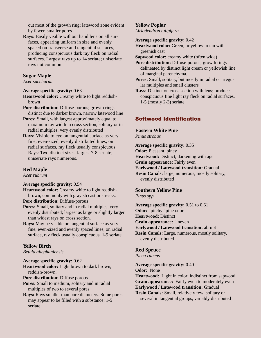out most of the growth ring; latewood zone evident by fewer, smaller pores

**Rays:** Easily visible without hand lens on all surfaces, appearing uniform in size and evenly spaced on transverse and tangential surfaces, producing conspicuous dark ray fleck on radial surfaces. Largest rays up to 14 seriate; uniseriate rays not common.

#### **Sugar Maple**

*Acer saccharum*

#### **Average specific gravity:** 0.63

- **Heartwood color:** Creamy white to light reddishbrown
- **Pore distribution:** Diffuse-porous; growth rings distinct due to darker brown, narrow latewood line
- **Pores:** Small, with largest approximately equal to maximum ray width in cross section; solitary or in radial multiples; very evenly distributed
- **Rays:** Visible to eye on tangential surface as very fine, even-sized, evenly distributed lines; on radial surfaces, ray fleck usually conspicuous. Rays: Two distinct sizes: largest 7-8 seriate; uniseriate rays numerous.

#### **Red Maple**

*Acer rubrum*

#### **Average specific gravity:** 0.54

- **Heartwood color:** Creamy white to light reddishbrown, commonly with grayish cast or streaks.
- **Pore distribution:** Diffuse-porous
- **Pores:** Small, solitary and in radial multiples, very evenly distributed; largest as large or slightly larger than widest rays on cross section.
- **Rays:** May be visible on tangential surface as very fine, even-sized and evenly spaced lines; on radial surface, ray fleck usually conspicuous. 1-5 seriate.

#### **Yellow Birch**

*Betula alleghaniensis*

#### **Average specific gravity:** 0.62

**Heartwood color:** Light brown to dark brown, reddish-brown.

**Pore distribution:** Diffuse porous

- **Pores:** Small to medium, solitary and in radial multiples of two to several pores
- **Rays:** Rays smaller than pore diameters. Some pores may appear to be filled with a substance; 1-5 seriate.

# **Yellow Poplar**

*Liriodendron tulipifera*

**Average specific gravity:** 0.42

- **Heartwood color:** Green, or yellow to tan with greenish cast
- **Sapwood color:** creamy white (often wide)
- **Pore distribution:** Diffuse-porous; growth rings delineated by distinct light cream or yellowish line of marginal parenchyma.
- **Pores:** Small, solitary, but mostly in radial or irregular multiples and small clusters
- **Rays:** Distinct on cross section with lens; produce conspicuous fine light ray fleck on radial surfaces. 1-5 (mostly 2-3) seriate

## Softwood Identification

# **Eastern White Pine**

*Pinus strobus*

**Average specific gravity:** 0.35 **Odor:** Pleasant, piney **Heartwood:** Distinct, darkening with age **Grain appearance:** Fairly even **Earlywood / Latewood transition:** Gradual **Resin Canals:** large, numerous, mostly solitary, evenly distributed

#### **Southern Yellow Pine**

*Pinus spp.*

**Average specific gravity:** 0.51 to 0.61 **Odor:** "pitchy" pine odor **Heartwood:** Distinct **Grain appearance:** Uneven **Earlywood / Latewood transition:** abrupt **Resin Canals:** Large, numerous, mostly solitary, evenly distributed

#### **Red Spruce**

*Picea rubens*

**Average specific gravity:** 0.40

**Odor:** None

**Heartwood:** Light in color; indistinct from sapwood **Grain appearance:** Fairly even to moderately even **Earlywood / Latewood transition:** Gradual **Resin Canals:** Small, relatively few; solitary or

several in tangential groups, variably distributed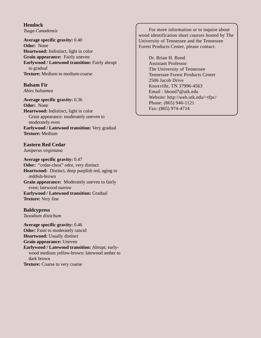**Hemlock** *Tsuga Canadensis*

**Average specific gravity:** 0.40 **Odor:** None **Heartwood:** Indistinct, light in color **Grain appearance:** Fairly uneven **Earlywood / Latewood transition:** Fairly abrupt to gradual **Texture:** Medium to medium-coarse

#### **Balsam Fir**

*Abies balsamea*

**Average specific gravity:** 0.36 **Odor:** None **Heartwood:** Indistinct, light in color Grain appearance: moderately uneven to moderately even **Earlywood / Latewood transition:** Very gradual **Texture:** Medium

#### **Eastern Red Cedar**

*Juniperus virginiana*

**Average specific gravity:** 0.47 **Odor:** "cedar-chest" odor, very distinct **Heartwood:** Distinct, deep purplish red, aging to reddish-brown **Grain appearance:** Moderately uneven to fairly even; latewood narrow **Earlywood / Latewood transition:** Gradual **Texture:** Very fine

#### **Baldcypress**

*Taxodium distichum*

**Average specific gravity:** 0.46 **Odor:** Faint to moderately rancid **Heartwood:** Usually distinct **Grain appearance:** Uneven **Earlywood / Latewood transition:** Abrupt; earlywood medium yellow-brown; latewood amber to dark brown **Texture:** Coarse to very coarse

For more information or to inquire about wood identification short courses hosted by The University of Tennessee and the Tennessee Forest Products Center, please contact:

> Dr. Brian H. Bond Assistant Professor The University of Tennessee Tennessee Forest Products Center 2506 Jacob Drive Knoxville, TN 37996-4563 Email : bbond7@utk.edu Website: http://web.utk.edu/~tfpc/ Phone: (865) 946-1121 Fax: (865) 974-4714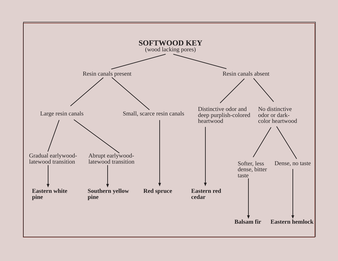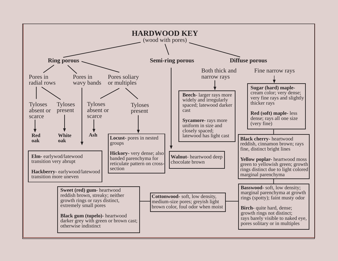